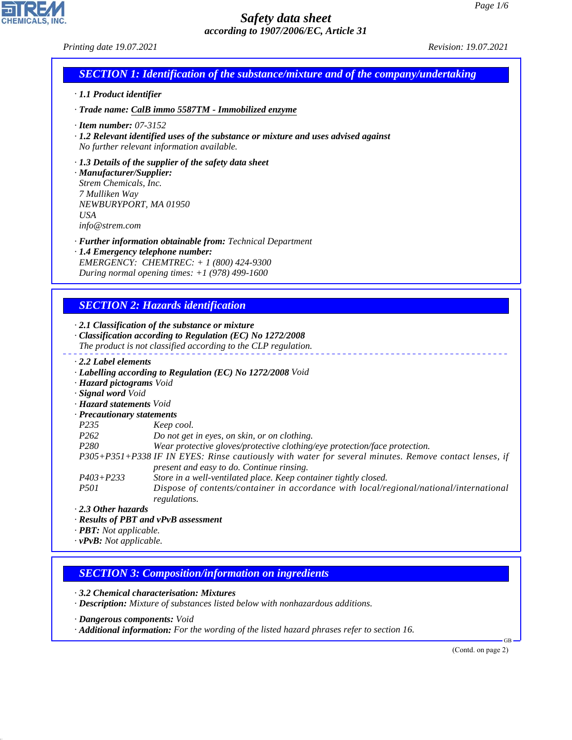CHEMICALS, INC.

44.1.1

|                                                                                                                              | <b>SECTION 1: Identification of the substance/mixture and of the company/undertaking</b>                                                                   |
|------------------------------------------------------------------------------------------------------------------------------|------------------------------------------------------------------------------------------------------------------------------------------------------------|
| · 1.1 Product identifier                                                                                                     |                                                                                                                                                            |
|                                                                                                                              | · Trade name: CalB immo 5587TM - Immobilized enzyme                                                                                                        |
| $\cdot$ Item number: 07-3152                                                                                                 | $\cdot$ 1.2 Relevant identified uses of the substance or mixture and uses advised against<br>No further relevant information available.                    |
| · Manufacturer/Supplier:<br>Strem Chemicals, Inc.<br>7 Mulliken Way<br>NEWBURYPORT, MA 01950<br><b>USA</b><br>info@strem.com | $\cdot$ 1.3 Details of the supplier of the safety data sheet                                                                                               |
|                                                                                                                              | · <b>Further information obtainable from:</b> Technical Department                                                                                         |
|                                                                                                                              | · 1.4 Emergency telephone number:                                                                                                                          |
|                                                                                                                              | EMERGENCY: CHEMTREC: + 1 (800) 424-9300                                                                                                                    |
|                                                                                                                              | During normal opening times: $+1$ (978) 499-1600                                                                                                           |
|                                                                                                                              | $\cdot$ 2.1 Classification of the substance or mixture                                                                                                     |
|                                                                                                                              |                                                                                                                                                            |
|                                                                                                                              | · Classification according to Regulation (EC) No 1272/2008<br>The product is not classified according to the CLP regulation.                               |
| $\cdot$ 2.2 Label elements                                                                                                   |                                                                                                                                                            |
|                                                                                                                              | · Labelling according to Regulation (EC) No 1272/2008 Void                                                                                                 |
| · Hazard pictograms Void                                                                                                     |                                                                                                                                                            |
| · Signal word Void                                                                                                           |                                                                                                                                                            |
| · Hazard statements Void                                                                                                     |                                                                                                                                                            |
| · Precautionary statements                                                                                                   |                                                                                                                                                            |
| P235                                                                                                                         | Keep cool.                                                                                                                                                 |
| P262<br>P280                                                                                                                 | Do not get in eyes, on skin, or on clothing.<br>Wear protective gloves/protective clothing/eye protection/face protection.                                 |
|                                                                                                                              | P305+P351+P338 IF IN EYES: Rinse cautiously with water for several minutes. Remove contact lenses, if                                                      |
|                                                                                                                              | present and easy to do. Continue rinsing.                                                                                                                  |
| $P403 + P233$<br><i>P501</i>                                                                                                 | Store in a well-ventilated place. Keep container tightly closed.<br>Dispose of contents/container in accordance with local/regional/national/international |
| $\cdot$ 2.3 Other hazards                                                                                                    | regulations.                                                                                                                                               |
|                                                                                                                              | · Results of PBT and vPvB assessment                                                                                                                       |
| · PBT: Not applicable.                                                                                                       |                                                                                                                                                            |
| $\cdot$ vPvB: Not applicable.                                                                                                |                                                                                                                                                            |
|                                                                                                                              |                                                                                                                                                            |
|                                                                                                                              | <b>SECTION 3: Composition/information on ingredients</b>                                                                                                   |
|                                                                                                                              | 3.2 Chemical characterisation: Mixtures<br>· Description: Mixture of substances listed below with nonhazardous additions.                                  |
| · Dangerous components: Void                                                                                                 |                                                                                                                                                            |

(Contd. on page 2)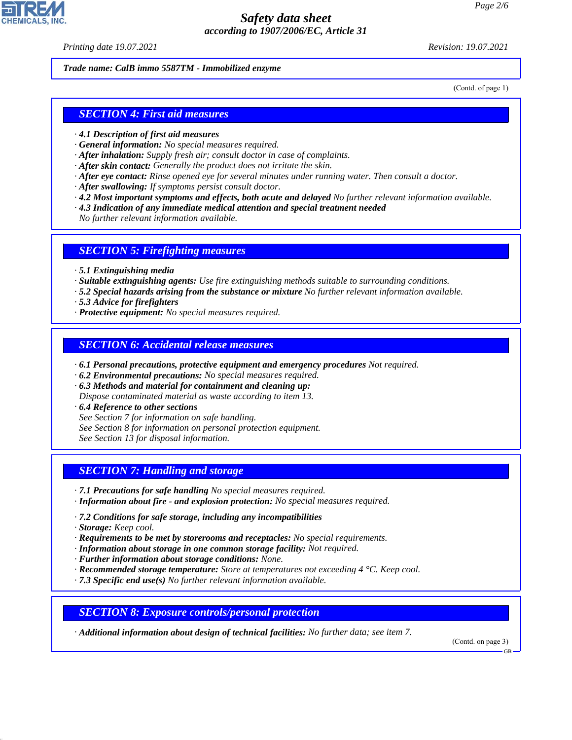*Printing date 19.07.2021 Revision: 19.07.2021*

#### *Trade name: CalB immo 5587TM - Immobilized enzyme*

(Contd. of page 1)

### *SECTION 4: First aid measures*

- *· 4.1 Description of first aid measures*
- *· General information: No special measures required.*
- *· After inhalation: Supply fresh air; consult doctor in case of complaints.*
- *· After skin contact: Generally the product does not irritate the skin.*
- *· After eye contact: Rinse opened eye for several minutes under running water. Then consult a doctor.*
- *· After swallowing: If symptoms persist consult doctor.*
- *· 4.2 Most important symptoms and effects, both acute and delayed No further relevant information available.*
- *· 4.3 Indication of any immediate medical attention and special treatment needed*

*No further relevant information available.*

#### *SECTION 5: Firefighting measures*

- *· 5.1 Extinguishing media*
- *· Suitable extinguishing agents: Use fire extinguishing methods suitable to surrounding conditions.*
- *· 5.2 Special hazards arising from the substance or mixture No further relevant information available.*
- *· 5.3 Advice for firefighters*
- *· Protective equipment: No special measures required.*

### *SECTION 6: Accidental release measures*

- *· 6.1 Personal precautions, protective equipment and emergency procedures Not required.*
- *· 6.2 Environmental precautions: No special measures required.*
- *· 6.3 Methods and material for containment and cleaning up:*
- *Dispose contaminated material as waste according to item 13.*
- *· 6.4 Reference to other sections*
- *See Section 7 for information on safe handling.*
- *See Section 8 for information on personal protection equipment.*

*See Section 13 for disposal information.*

# *SECTION 7: Handling and storage*

- *· 7.1 Precautions for safe handling No special measures required.*
- *· Information about fire and explosion protection: No special measures required.*
- *· 7.2 Conditions for safe storage, including any incompatibilities*
- *· Storage: Keep cool.*

44.1.1

- *· Requirements to be met by storerooms and receptacles: No special requirements.*
- *· Information about storage in one common storage facility: Not required.*
- *· Further information about storage conditions: None.*
- *· Recommended storage temperature: Store at temperatures not exceeding 4 °C. Keep cool.*
- *· 7.3 Specific end use(s) No further relevant information available.*

*SECTION 8: Exposure controls/personal protection*

*· Additional information about design of technical facilities: No further data; see item 7.*

(Contd. on page 3)

GB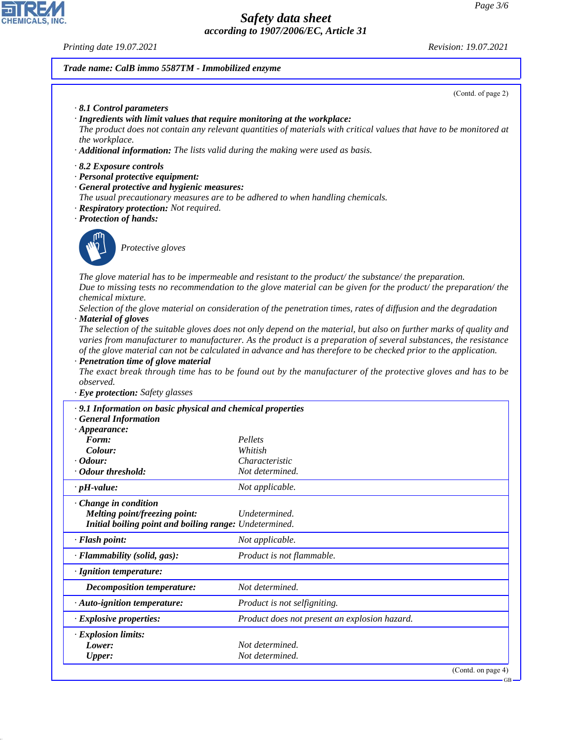#### *Printing date 19.07.2021 Revision: 19.07.2021*

고

**CHEMICALS, INC.** 

44.1.1

#### *Trade name: CalB immo 5587TM - Immobilized enzyme*

| ade name: CalB immo 5587TM - Immobilized enzyme                                                                                                                                                                                                                 |                                                                                                                                                                                                                                                                                                                                                                                                                                                                                                                                                                                                                                                                                                                                                                                                                           |
|-----------------------------------------------------------------------------------------------------------------------------------------------------------------------------------------------------------------------------------------------------------------|---------------------------------------------------------------------------------------------------------------------------------------------------------------------------------------------------------------------------------------------------------------------------------------------------------------------------------------------------------------------------------------------------------------------------------------------------------------------------------------------------------------------------------------------------------------------------------------------------------------------------------------------------------------------------------------------------------------------------------------------------------------------------------------------------------------------------|
|                                                                                                                                                                                                                                                                 | (Contd. of page 2)                                                                                                                                                                                                                                                                                                                                                                                                                                                                                                                                                                                                                                                                                                                                                                                                        |
| $\cdot$ 8.1 Control parameters<br>· Ingredients with limit values that require monitoring at the workplace:<br>the workplace.<br>· Additional information: The lists valid during the making were used as basis.                                                | The product does not contain any relevant quantities of materials with critical values that have to be monitored at                                                                                                                                                                                                                                                                                                                                                                                                                                                                                                                                                                                                                                                                                                       |
| 8.2 Exposure controls<br>· Personal protective equipment:<br>· General protective and hygienic measures:<br>The usual precautionary measures are to be adhered to when handling chemicals.<br>· Respiratory protection: Not required.<br>· Protection of hands: |                                                                                                                                                                                                                                                                                                                                                                                                                                                                                                                                                                                                                                                                                                                                                                                                                           |
| Protective gloves                                                                                                                                                                                                                                               |                                                                                                                                                                                                                                                                                                                                                                                                                                                                                                                                                                                                                                                                                                                                                                                                                           |
| <i>chemical mixture.</i><br>· Material of gloves<br>· Penetration time of glove material<br>observed.<br>· Eye protection: Safety glasses                                                                                                                       | The glove material has to be impermeable and resistant to the product/the substance/the preparation.<br>Due to missing tests no recommendation to the glove material can be given for the product/ the preparation/ the<br>Selection of the glove material on consideration of the penetration times, rates of diffusion and the degradation<br>The selection of the suitable gloves does not only depend on the material, but also on further marks of quality and<br>varies from manufacturer to manufacturer. As the product is a preparation of several substances, the resistance<br>of the glove material can not be calculated in advance and has therefore to be checked prior to the application.<br>The exact break through time has to be found out by the manufacturer of the protective gloves and has to be |
| · 9.1 Information on basic physical and chemical properties                                                                                                                                                                                                     |                                                                                                                                                                                                                                                                                                                                                                                                                                                                                                                                                                                                                                                                                                                                                                                                                           |
| <b>General Information</b><br>$\cdot$ Appearance:<br>Form:<br>Colour:<br>· Odour:<br>• Odour threshold:                                                                                                                                                         | Pellets<br>Whitish<br>Characteristic<br>Not determined.                                                                                                                                                                                                                                                                                                                                                                                                                                                                                                                                                                                                                                                                                                                                                                   |
| $\cdot$ pH-value:                                                                                                                                                                                                                                               | Not applicable.                                                                                                                                                                                                                                                                                                                                                                                                                                                                                                                                                                                                                                                                                                                                                                                                           |
| $\cdot$ Change in condition<br><b>Melting point/freezing point:</b><br>Initial boiling point and boiling range: Undetermined.                                                                                                                                   | Undetermined.                                                                                                                                                                                                                                                                                                                                                                                                                                                                                                                                                                                                                                                                                                                                                                                                             |
| · Flash point:                                                                                                                                                                                                                                                  | Not applicable.                                                                                                                                                                                                                                                                                                                                                                                                                                                                                                                                                                                                                                                                                                                                                                                                           |

*· Flammability (solid, gas): Product is not flammable.*

*· Auto-ignition temperature: Product is not selfigniting.*

*· Explosive properties: Product does not present an explosion hazard.*

*Decomposition temperature: Not determined.*

*Lower: Not determined. Upper: Not determined.*

*· Ignition temperature:*

*· Explosion limits:*

(Contd. on page 4)

GB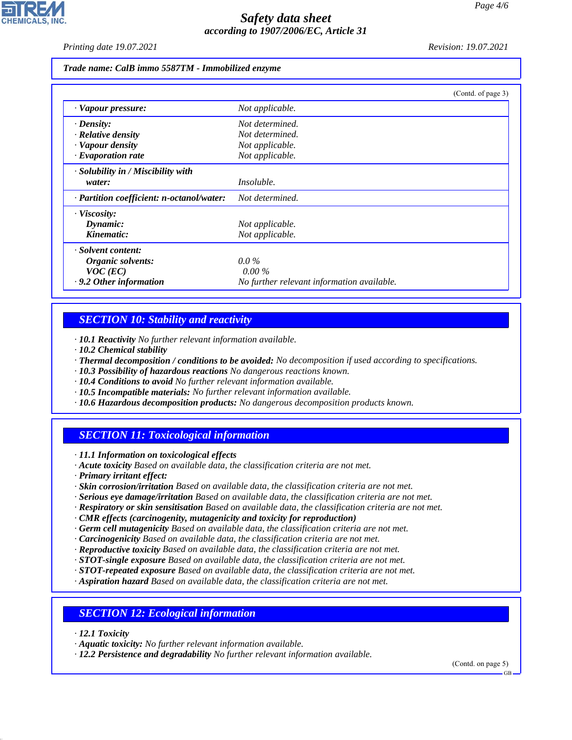*Printing date 19.07.2021 Revision: 19.07.2021*

#### *Trade name: CalB immo 5587TM - Immobilized enzyme*

|                                           | (Contd. of page 3)                         |
|-------------------------------------------|--------------------------------------------|
| · Vapour pressure:                        | Not applicable.                            |
| $\cdot$ Density:                          | Not determined.                            |
| $\cdot$ Relative density                  | Not determined.                            |
| · Vapour density                          | Not applicable.                            |
| $\cdot$ Evaporation rate                  | Not applicable.                            |
| $\cdot$ Solubility in / Miscibility with  |                                            |
| water:                                    | <i>Insoluble.</i>                          |
| · Partition coefficient: n-octanol/water: | Not determined.                            |
| $\cdot$ Viscosity:                        |                                            |
| Dynamic:                                  | Not applicable.                            |
| Kinematic:                                | Not applicable.                            |
| · Solvent content:                        |                                            |
| Organic solvents:                         | $0.0\%$                                    |
| $VOC$ (EC)                                | $0.00\%$                                   |
| $\cdot$ 9.2 Other information             | No further relevant information available. |

# *SECTION 10: Stability and reactivity*

*· 10.1 Reactivity No further relevant information available.*

- *· 10.2 Chemical stability*
- *· Thermal decomposition / conditions to be avoided: No decomposition if used according to specifications.*
- *· 10.3 Possibility of hazardous reactions No dangerous reactions known.*
- *· 10.4 Conditions to avoid No further relevant information available.*
- *· 10.5 Incompatible materials: No further relevant information available.*
- *· 10.6 Hazardous decomposition products: No dangerous decomposition products known.*

# *SECTION 11: Toxicological information*

*· 11.1 Information on toxicological effects*

*· Acute toxicity Based on available data, the classification criteria are not met.*

*· Primary irritant effect:*

- *· Skin corrosion/irritation Based on available data, the classification criteria are not met.*
- *· Serious eye damage/irritation Based on available data, the classification criteria are not met.*
- *· Respiratory or skin sensitisation Based on available data, the classification criteria are not met.*
- *· CMR effects (carcinogenity, mutagenicity and toxicity for reproduction)*
- *· Germ cell mutagenicity Based on available data, the classification criteria are not met.*
- *· Carcinogenicity Based on available data, the classification criteria are not met.*
- *· Reproductive toxicity Based on available data, the classification criteria are not met.*
- *· STOT-single exposure Based on available data, the classification criteria are not met.*
- *· STOT-repeated exposure Based on available data, the classification criteria are not met.*
- *· Aspiration hazard Based on available data, the classification criteria are not met.*

### *SECTION 12: Ecological information*

*· 12.1 Toxicity*

44.1.1

*· Aquatic toxicity: No further relevant information available.*

*· 12.2 Persistence and degradability No further relevant information available.*

(Contd. on page 5)

GB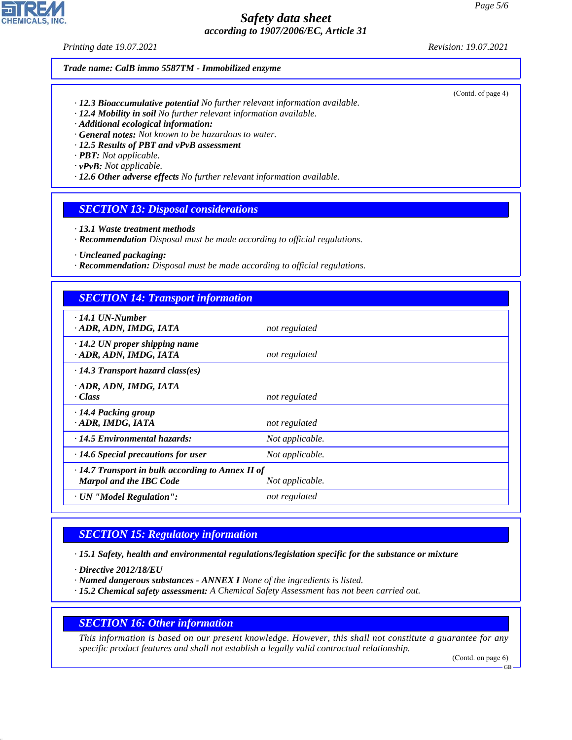#### *Printing date 19.07.2021 Revision: 19.07.2021*

#### *Trade name: CalB immo 5587TM - Immobilized enzyme*

- *· 12.3 Bioaccumulative potential No further relevant information available.*
- *· 12.4 Mobility in soil No further relevant information available.*
- *· Additional ecological information:*
- *· General notes: Not known to be hazardous to water.*
- *· 12.5 Results of PBT and vPvB assessment*
- *· PBT: Not applicable.*
- *· vPvB: Not applicable.*
- *· 12.6 Other adverse effects No further relevant information available.*

### *SECTION 13: Disposal considerations*

- *· 13.1 Waste treatment methods*
- *· Recommendation Disposal must be made according to official regulations.*
- *· Uncleaned packaging:*
- *· Recommendation: Disposal must be made according to official regulations.*

# *SECTION 14: Transport information*

| $\cdot$ 14.1 UN-Number                                         |                 |  |  |  |
|----------------------------------------------------------------|-----------------|--|--|--|
| · ADR, ADN, IMDG, IATA                                         | not regulated   |  |  |  |
| $\cdot$ 14.2 UN proper shipping name<br>· ADR, ADN, IMDG, IATA | not regulated   |  |  |  |
| $\cdot$ 14.3 Transport hazard class(es)                        |                 |  |  |  |
| · ADR, ADN, IMDG, IATA<br>· Class                              | not regulated   |  |  |  |
| · 14.4 Packing group<br>· ADR, IMDG, IATA                      | not regulated   |  |  |  |
| $\cdot$ 14.5 Environmental hazards:                            | Not applicable. |  |  |  |
| $\cdot$ 14.6 Special precautions for user                      | Not applicable. |  |  |  |
| · 14.7 Transport in bulk according to Annex II of              |                 |  |  |  |
| <b>Marpol and the IBC Code</b>                                 | Not applicable. |  |  |  |
| · UN "Model Regulation":                                       | not regulated   |  |  |  |

# *SECTION 15: Regulatory information*

*· 15.1 Safety, health and environmental regulations/legislation specific for the substance or mixture*

*· Directive 2012/18/EU*

44.1.1

- *· Named dangerous substances ANNEX I None of the ingredients is listed.*
- *· 15.2 Chemical safety assessment: A Chemical Safety Assessment has not been carried out.*

### *SECTION 16: Other information*

*This information is based on our present knowledge. However, this shall not constitute a guarantee for any specific product features and shall not establish a legally valid contractual relationship.*

(Contd. on page 6)

(Contd. of page 4)

GB